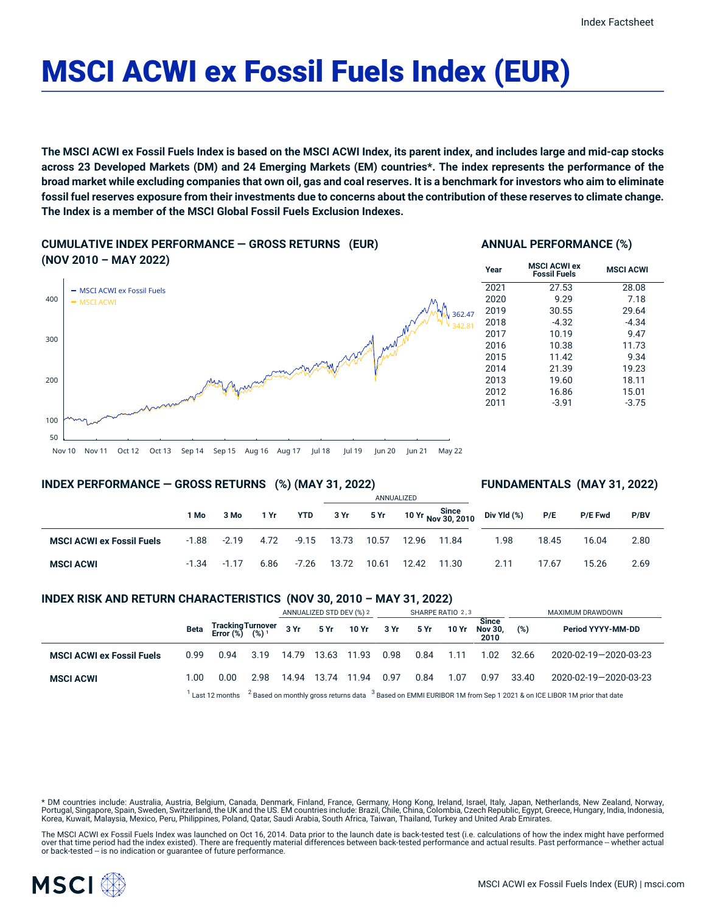# MSCI ACWI ex Fossil Fuels Index (EUR)

The MSCI ACWI ex Fossil Fuels Index is based on the MSCI ACWI Index, its parent index, and includes large and mid-cap stocks across 23 Developed Markets (DM) and 24 Emerging Markets (EM) countries\*. The index represents the performance of the broad market while excluding companies that own oil, gas and coal reserves. It is a benchmark for investors who aim to eliminate fossil fuel reserves exposure from their investments due to concerns about the contribution of these reserves to climate change. **The Index is a member of the MSCI Global Fossil Fuels Exclusion Indexes.**

**CUMULATIVE INDEX PERFORMANCE — GROSS RETURNS (EUR) (NOV 2010 – MAY 2022)**

# **ANNUAL PERFORMANCE (%)**



# **INDEX PERFORMANCE — GROSS RETURNS (%) (MAY 31, 2022)**

# **FUNDAMENTALS (MAY 31, 2022)**

|                                  |         |         |      |         |       |       | ANNUALIZED |       |                                               |       |         |      |
|----------------------------------|---------|---------|------|---------|-------|-------|------------|-------|-----------------------------------------------|-------|---------|------|
|                                  | 1 Mo    | 3 Mo    | 1 Yr | YTD     | 3 Yr  | 5 Yr  |            |       | 10 Yr Since<br>10 Yr Nov 30, 2010 Div Yld (%) | P/E   | P/E Fwd | P/BV |
| <b>MSCI ACWI ex Fossil Fuels</b> | $-1.88$ | $-2.19$ | 4.72 | $-9.15$ | 13.73 | 10.57 | 12.96      | 11.84 | 1.98                                          | 18.45 | 16.04   | 2.80 |
| <b>MSCI ACWI</b>                 | $-1.34$ | $-1.17$ | 6.86 | $-7.26$ | 13.72 | 10.61 | 12.42      | 11.30 | 2.11                                          | 17.67 | 15.26   | 2.69 |

# **INDEX RISK AND RETURN CHARACTERISTICS (NOV 30, 2010 – MAY 31, 2022)**

|                                  |      |                                                                                                                                           |      | ANNUALIZED STD DEV (%) 2 |       | SHARPE RATIO 2,3 |      |      |       | MAXIMUM DRAWDOWN                       |       |                       |
|----------------------------------|------|-------------------------------------------------------------------------------------------------------------------------------------------|------|--------------------------|-------|------------------|------|------|-------|----------------------------------------|-------|-----------------------|
|                                  | Beta | Tracking Turnover<br>Error (%) (%) <sup>1</sup>                                                                                           |      | 3 Yr                     |       | 5 Yr 10 Yr       | 3 Yr | 5 Yr | 10 Yr | <b>Since</b><br><b>Nov 30.</b><br>2010 | (%)   | Period YYYY-MM-DD     |
| <b>MSCI ACWI ex Fossil Fuels</b> | 0.99 | 0.94                                                                                                                                      | 3.19 | 14.79                    | 13.63 | 11.93            | 0.98 | 0.84 | 1.11  | 1.02                                   | 32.66 | 2020-02-19-2020-03-23 |
| <b>MSCI ACWI</b>                 | 1.00 | 0.00                                                                                                                                      | 2.98 | 14.94                    | 13.74 | 11.94            | 0.97 | 0.84 | 1.07  | 0.97                                   | 33.40 | 2020-02-19-2020-03-23 |
|                                  |      | $12$ Based on monthly gross returns data $3$ Based on EMMI EURIBOR 1M from Sep 1 2021 & on ICE LIBOR 1M prior that date<br>Last 12 months |      |                          |       |                  |      |      |       |                                        |       |                       |

\* DM countries include: Australia, Austria, Belgium, Canada, Denmark, Finland, France, Germany, Hong Kong, Ireland, Israel, Italy, Japan, Netherlands, New Zealand, Norway, Portugal, Singapore, Spain, Sweden, Switzerland, the UK and the US. EM countries include: Brazil, Chile, China, Colombia, Czech Republic, Egypt, Greece, Hungary, India, Indonesia, Korea, Kuwait, Malaysia, Mexico, Peru, Philippines, Poland, Qatar, Saudi Arabia, South Africa, Taiwan, Thailand, Turkey and United Arab Emirates.

The MSCI ACWI ex Fossil Fuels Index was launched on Oct 16, 2014. Data prior to the launch date is back-tested test (i.e. calculations of how the index might have performed over that time period had the index existed). There are frequently material differences between back-tested performance and actual results. Past performance -- whether actual or back-tested -- is no indication or guarantee of future performance.

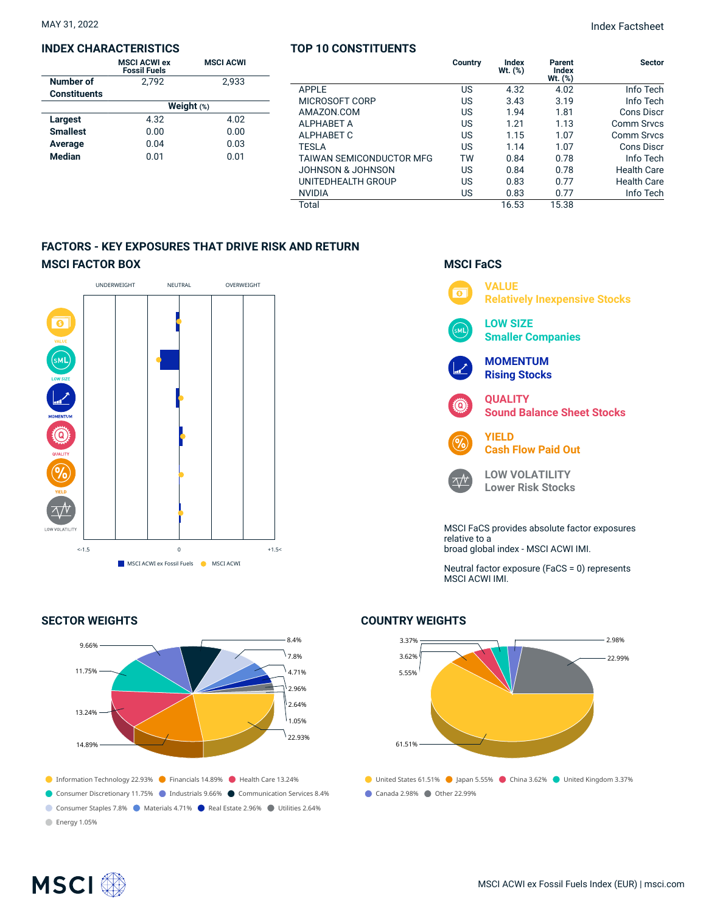#### **INDEX CHARACTERISTICS**

|                     | <b>MSCI ACWI ex</b><br><b>Fossil Fuels</b> | <b>MSCI ACWI</b> |  |  |  |  |  |
|---------------------|--------------------------------------------|------------------|--|--|--|--|--|
| Number of           | 2.792                                      | 2.933            |  |  |  |  |  |
| <b>Constituents</b> |                                            |                  |  |  |  |  |  |
|                     | Weight $(*)$                               |                  |  |  |  |  |  |
| Largest             | 4.32                                       | 4.02             |  |  |  |  |  |
| <b>Smallest</b>     | 0.00                                       | 0.00             |  |  |  |  |  |
| Average             | 0.04                                       | 0.03             |  |  |  |  |  |
| <b>Median</b>       | 0.01                                       | 0.01             |  |  |  |  |  |

# **TOP 10 CONSTITUENTS**

|                          | Country | Index<br>$Wt.$ $(\%)$ | Parent<br>Index<br>Wt. (%) | <b>Sector</b>      |
|--------------------------|---------|-----------------------|----------------------------|--------------------|
| APPLE                    | US      | 4.32                  | 4.02                       | Info Tech          |
| MICROSOFT CORP           | US      | 3.43                  | 3.19                       | Info Tech          |
| AMAZON.COM               | US      | 1.94                  | 1.81                       | <b>Cons Discr</b>  |
| ALPHABET A               | US      | 1.21                  | 1.13                       | <b>Comm Srvcs</b>  |
| ALPHABET C               | US      | 1.15                  | 1.07                       | <b>Comm Srvcs</b>  |
| TESLA                    | US      | 1.14                  | 1.07                       | <b>Cons Discr</b>  |
| TAIWAN SEMICONDUCTOR MFG | TW      | 0.84                  | 0.78                       | Info Tech          |
| JOHNSON & JOHNSON        | US      | 0.84                  | 0.78                       | <b>Health Care</b> |
| UNITEDHEALTH GROUP       | US      | 0.83                  | 0.77                       | <b>Health Care</b> |
| NVIDIA                   | US      | 0.83                  | 0.77                       | Info Tech          |
| Total                    |         | 16.53                 | 15.38                      |                    |

# **FACTORS - KEY EXPOSURES THAT DRIVE RISK AND RETURN MSCI FACTOR BOX**



# **SECTOR WEIGHTS**



# **MSCI FaCS**



Neutral factor exposure (FaCS = 0) represents MSCI ACWI IMI.

# 3.37% 3.62% 5.55% 61.51% 2.98% 22.99%

**COUNTRY WEIGHTS**

● United States 61.51% ● Japan 5.55% ● China 3.62% ● United Kingdom 3.37% Canada 2.98% Other 22.99%